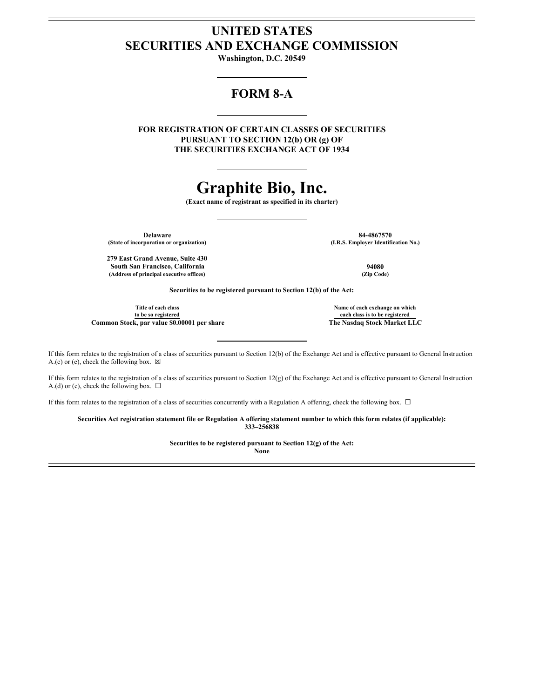# **UNITED STATES SECURITIES AND EXCHANGE COMMISSION**

**Washington, D.C. 20549**

# **FORM 8-A**

**FOR REGISTRATION OF CERTAIN CLASSES OF SECURITIES PURSUANT TO SECTION 12(b) OR (g) OF THE SECURITIES EXCHANGE ACT OF 1934**

# **Graphite Bio, Inc.**

**(Exact name of registrant as specified in its charter)**

**(State of incorporation or organization) (I.R.S. Employer Identification No.)**

**Delaware 84-4867570**<br> **84-4867570**<br> **(I.R.S. Employer Identification No.)** 

**279 East Grand Avenue, Suite 430 South San Francisco, California 94080 (Address of principal executive offices) (Zip Code)**

**Securities to be registered pursuant to Section 12(b) of the Act:**

**Title of each class to be so registered Common Stock, par value \$0.00001 per share The Nasdaq Stock Market LLC**

**Name of each exchange on which each class is to be registered**

If this form relates to the registration of a class of securities pursuant to Section 12(b) of the Exchange Act and is effective pursuant to General Instruction A.(c) or (e), check the following box.  $\boxtimes$ 

If this form relates to the registration of a class of securities pursuant to Section 12(g) of the Exchange Act and is effective pursuant to General Instruction A.(d) or (e), check the following box.  $\Box$ 

If this form relates to the registration of a class of securities concurrently with a Regulation A offering, check the following box.  $\Box$ 

Securities Act registration statement file or Regulation A offering statement number to which this form relates (if applicable): **333–256838**

> **Securities to be registered pursuant to Section 12(g) of the Act: None**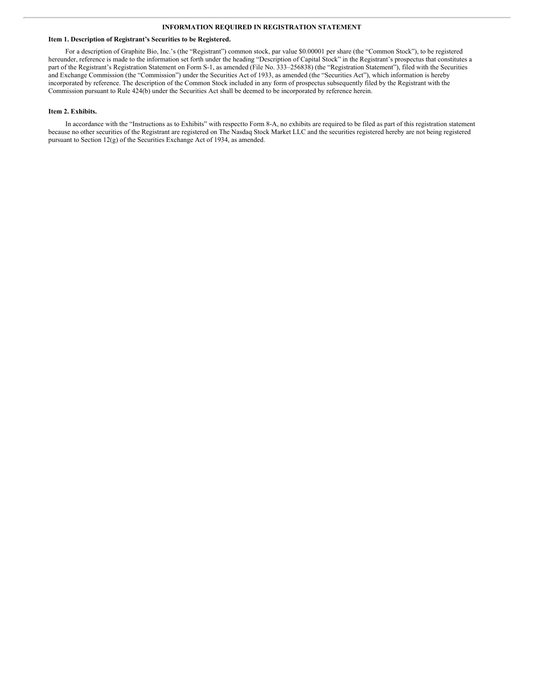## **INFORMATION REQUIRED IN REGISTRATION STATEMENT**

#### **Item 1. Description of Registrant's Securities to be Registered.**

For a description of Graphite Bio, Inc.'s (the "Registrant") common stock, par value \$0.00001 per share (the "Common Stock"), to be registered hereunder, reference is made to the information set forth under the heading "Description of Capital Stock" in the Registrant's prospectus that constitutes a part of the Registrant's Registration Statement on Form S-1, as amended (File No. 333–256838) (the "Registration Statement"), filed with the Securities and Exchange Commission (the "Commission") under the Securities Act of 1933, as amended (the "Securities Act"), which information is hereby incorporated by reference. The description of the Common Stock included in any form of prospectus subsequently filed by the Registrant with the Commission pursuant to Rule 424(b) under the Securities Act shall be deemed to be incorporated by reference herein.

#### **Item 2. Exhibits.**

In accordance with the "Instructions as to Exhibits" with respectto Form 8-A, no exhibits are required to be filed as part of this registration statement because no other securities of the Registrant are registered on The Nasdaq Stock Market LLC and the securities registered hereby are not being registered pursuant to Section 12(g) of the Securities Exchange Act of 1934, as amended.